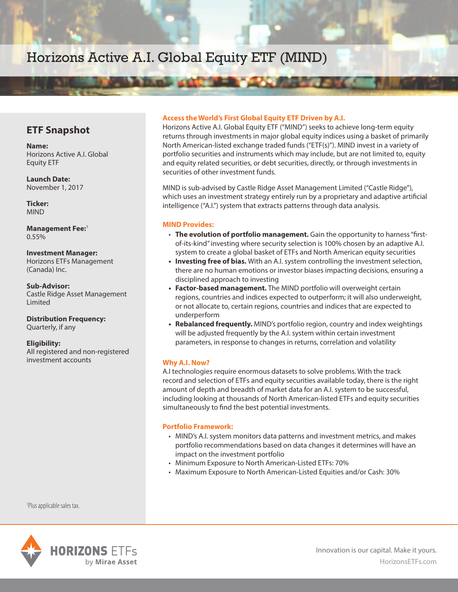# Horizons Active A.I. Global Equity ETF (MIND)

### **ETF Snapshot**

**Name:** Horizons Active A.I. Global Equity ETF

**Launch Date:** November 1, 2017

**Ticker:** MIND

**Management Fee:**<sup>1</sup> 0.55%

#### **Investment Manager:**

Horizons ETFs Management (Canada) Inc.

**Sub-Advisor:** Castle Ridge Asset Management Limited

**Distribution Frequency:** Quarterly, if any

#### **Eligibility:**

All registered and non-registered investment accounts

#### **Access the World's First Global Equity ETF Driven by A.I.**

Horizons Active A.I. Global Equity ETF ("MIND") seeks to achieve long-term equity returns through investments in major global equity indices using a basket of primarily North American-listed exchange traded funds ("ETF(s)"). MIND invest in a variety of portfolio securities and instruments which may include, but are not limited to, equity and equity related securities, or debt securities, directly, or through investments in securities of other investment funds.

MIND is sub-advised by Castle Ridge Asset Management Limited ("Castle Ridge"), which uses an investment strategy entirely run by a proprietary and adaptive artificial intelligence ("A.I.") system that extracts patterns through data analysis.

#### **MIND Provides:**

- **The evolution of portfolio management.** Gain the opportunity to harness "firstof-its-kind" investing where security selection is 100% chosen by an adaptive A.I. system to create a global basket of ETFs and North American equity securities
- **Investing free of bias.** With an A.I. system controlling the investment selection, there are no human emotions or investor biases impacting decisions, ensuring a disciplined approach to investing
- **Factor-based management.** The MIND portfolio will overweight certain regions, countries and indices expected to outperform; it will also underweight, or not allocate to, certain regions, countries and indices that are expected to underperform
- **Rebalanced frequently.** MIND's portfolio region, country and index weightings will be adjusted frequently by the A.I. system within certain investment parameters, in response to changes in returns, correlation and volatility

#### **Why A.I. Now?**

A.I technologies require enormous datasets to solve problems. With the track record and selection of ETFs and equity securities available today, there is the right amount of depth and breadth of market data for an A.I. system to be successful, including looking at thousands of North American-listed ETFs and equity securities simultaneously to find the best potential investments.

#### **Portfolio Framework:**

- MIND's A.I. system monitors data patterns and investment metrics, and makes portfolio recommendations based on data changes it determines will have an impact on the investment portfolio
- Minimum Exposure to North American-Listed ETFs: 70%
- Maximum Exposure to North American-Listed Equities and/or Cash: 30%

1 Plus applicable sales tax.